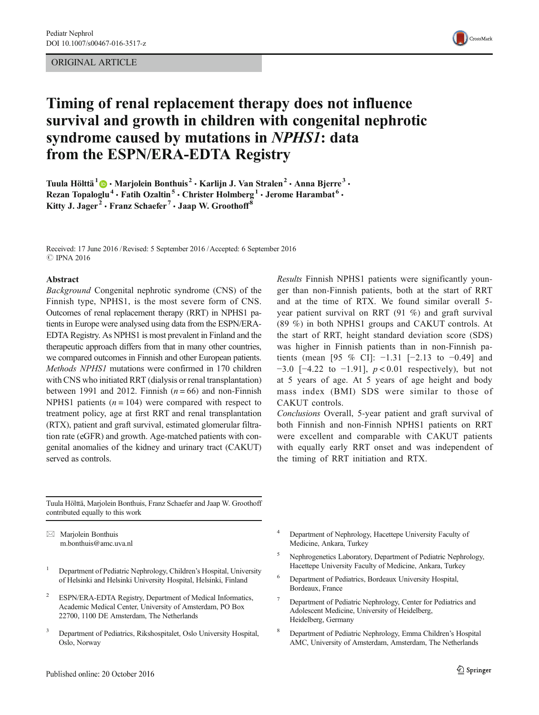## ORIGINAL ARTICLE



# Timing of renal replacement therapy does not influence survival and growth in children with congenital nephrotic syndrome caused by mutations in NPHS1: data from the ESPN/ERA-EDTA Registry

Tuula Hölttä<sup>1</sup>  $\bigcirc$  • Marjolein Bonthuis<sup>2</sup> • Karlijn J. Van Stralen<sup>2</sup> • Anna Bjerre<sup>3</sup> • Rezan Topaloglu<sup>4</sup> • Fatih Ozaltin<sup>5</sup> • Christer Holmberg<sup>1</sup> • Jerome Harambat<sup>6</sup> • Kitty J. Jager<sup>2</sup> • Franz Schaefer<sup>7</sup> • Jaap W. Groothoff<sup>8</sup>

Received: 17 June 2016 /Revised: 5 September 2016 /Accepted: 6 September 2016 **C** IPNA 2016

#### Abstract

Background Congenital nephrotic syndrome (CNS) of the Finnish type, NPHS1, is the most severe form of CNS. Outcomes of renal replacement therapy (RRT) in NPHS1 patients in Europe were analysed using data from the ESPN/ERA-EDTA Registry. As NPHS1 is most prevalent in Finland and the therapeutic approach differs from that in many other countries, we compared outcomes in Finnish and other European patients. Methods NPHS1 mutations were confirmed in 170 children with CNS who initiated RRT (dialysis or renal transplantation) between 1991 and 2012. Finnish  $(n = 66)$  and non-Finnish NPHS1 patients  $(n = 104)$  were compared with respect to treatment policy, age at first RRT and renal transplantation (RTX), patient and graft survival, estimated glomerular filtration rate (eGFR) and growth. Age-matched patients with congenital anomalies of the kidney and urinary tract (CAKUT) served as controls.

Results Finnish NPHS1 patients were significantly younger than non-Finnish patients, both at the start of RRT and at the time of RTX. We found similar overall 5 year patient survival on RRT (91 %) and graft survival (89 %) in both NPHS1 groups and CAKUT controls. At the start of RRT, height standard deviation score (SDS) was higher in Finnish patients than in non-Finnish patients (mean [95 % CI]:  $-1.31$  [ $-2.13$  to  $-0.49$ ] and  $-3.0$  [ $-4.22$  to  $-1.91$ ],  $p < 0.01$  respectively), but not at 5 years of age. At 5 years of age height and body mass index (BMI) SDS were similar to those of CAKUT controls.

Conclusions Overall, 5-year patient and graft survival of both Finnish and non-Finnish NPHS1 patients on RRT were excellent and comparable with CAKUT patients with equally early RRT onset and was independent of the timing of RRT initiation and RTX.

Tuula Hölttä, Marjolein Bonthuis, Franz Schaefer and Jaap W. Groothoff contributed equally to this work

 $\boxtimes$  Marjolein Bonthuis m.bonthuis@amc.uva.nl

- <sup>1</sup> Department of Pediatric Nephrology, Children's Hospital, University of Helsinki and Helsinki University Hospital, Helsinki, Finland
- <sup>2</sup> ESPN/ERA-EDTA Registry, Department of Medical Informatics, Academic Medical Center, University of Amsterdam, PO Box 22700, 1100 DE Amsterdam, The Netherlands
- <sup>3</sup> Department of Pediatrics, Rikshospitalet, Oslo University Hospital, Oslo, Norway
- Department of Nephrology, Hacettepe University Faculty of Medicine, Ankara, Turkey
- <sup>5</sup> Nephrogenetics Laboratory, Department of Pediatric Nephrology, Hacettepe University Faculty of Medicine, Ankara, Turkey
- <sup>6</sup> Department of Pediatrics, Bordeaux University Hospital, Bordeaux, France
- <sup>7</sup> Department of Pediatric Nephrology, Center for Pediatrics and Adolescent Medicine, University of Heidelberg, Heidelberg, Germany
- <sup>8</sup> Department of Pediatric Nephrology, Emma Children's Hospital AMC, University of Amsterdam, Amsterdam, The Netherlands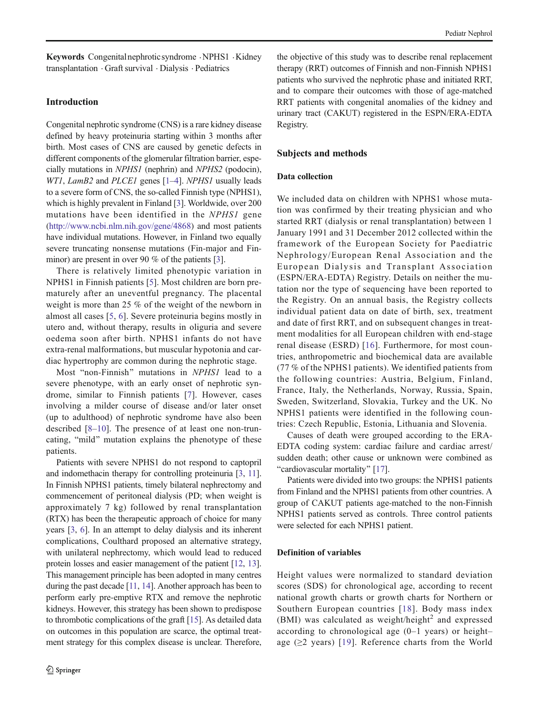Keywords Congenitalnephroticsyndrome .NPHS1 .Kidney transplantation . Graft survival . Dialysis . Pediatrics

# Introduction

Congenital nephrotic syndrome (CNS) is a rare kidney disease defined by heavy proteinuria starting within 3 months after birth. Most cases of CNS are caused by genetic defects in different components of the glomerular filtration barrier, especially mutations in NPHS1 (nephrin) and NPHS2 (podocin), WT[1](#page-7-0), LamB2 and PLCE1 genes [1-[4\]](#page-7-0). NPHS1 usually leads to a severe form of CNS, the so-called Finnish type (NPHS1), which is highly prevalent in Finland [\[3\]](#page-7-0). Worldwide, over 200 mutations have been identified in the NPHS1 gene [\(http://www.ncbi.nlm.nih.gov/gene/4868](http://www.ncbi.nlm.nih.gov/gene/4868)) and most patients have individual mutations. However, in Finland two equally severe truncating nonsense mutations (Fin-major and Finminor) are present in over 90 % of the patients [\[3\]](#page-7-0).

There is relatively limited phenotypic variation in NPHS1 in Finnish patients [[5\]](#page-7-0). Most children are born prematurely after an uneventful pregnancy. The placental weight is more than 25 % of the weight of the newborn in almost all cases [[5,](#page-7-0) [6](#page-7-0)]. Severe proteinuria begins mostly in utero and, without therapy, results in oliguria and severe oedema soon after birth. NPHS1 infants do not have extra-renal malformations, but muscular hypotonia and cardiac hypertrophy are common during the nephrotic stage.

Most "non-Finnish" mutations in NPHS1 lead to a severe phenotype, with an early onset of nephrotic syndrome, similar to Finnish patients [[7](#page-7-0)]. However, cases involving a milder course of disease and/or later onset (up to adulthood) of nephrotic syndrome have also been described [[8](#page-7-0)–[10](#page-7-0)]. The presence of at least one non-truncating, "mild" mutation explains the phenotype of these patients.

Patients with severe NPHS1 do not respond to captopril and indomethacin therapy for controlling proteinuria [[3,](#page-7-0) [11\]](#page-7-0). In Finnish NPHS1 patients, timely bilateral nephrectomy and commencement of peritoneal dialysis (PD; when weight is approximately 7 kg) followed by renal transplantation (RTX) has been the therapeutic approach of choice for many years [\[3,](#page-7-0) [6\]](#page-7-0). In an attempt to delay dialysis and its inherent complications, Coulthard proposed an alternative strategy, with unilateral nephrectomy, which would lead to reduced protein losses and easier management of the patient [[12](#page-7-0), [13\]](#page-7-0). This management principle has been adopted in many centres during the past decade [[11,](#page-7-0) [14](#page-7-0)]. Another approach has been to perform early pre-emptive RTX and remove the nephrotic kidneys. However, this strategy has been shown to predispose to thrombotic complications of the graft [[15](#page-7-0)]. As detailed data on outcomes in this population are scarce, the optimal treatment strategy for this complex disease is unclear. Therefore, the objective of this study was to describe renal replacement therapy (RRT) outcomes of Finnish and non-Finnish NPHS1 patients who survived the nephrotic phase and initiated RRT, and to compare their outcomes with those of age-matched RRT patients with congenital anomalies of the kidney and urinary tract (CAKUT) registered in the ESPN/ERA-EDTA Registry.

# Subjects and methods

# Data collection

We included data on children with NPHS1 whose mutation was confirmed by their treating physician and who started RRT (dialysis or renal transplantation) between 1 January 1991 and 31 December 2012 collected within the framework of the European Society for Paediatric Nephrology/European Renal Association and the European Dialysis and Transplant Association (ESPN/ERA-EDTA) Registry. Details on neither the mutation nor the type of sequencing have been reported to the Registry. On an annual basis, the Registry collects individual patient data on date of birth, sex, treatment and date of first RRT, and on subsequent changes in treatment modalities for all European children with end-stage renal disease (ESRD) [[16](#page-7-0)]. Furthermore, for most countries, anthropometric and biochemical data are available (77 % of the NPHS1 patients). We identified patients from the following countries: Austria, Belgium, Finland, France, Italy, the Netherlands, Norway, Russia, Spain, Sweden, Switzerland, Slovakia, Turkey and the UK. No NPHS1 patients were identified in the following countries: Czech Republic, Estonia, Lithuania and Slovenia.

Causes of death were grouped according to the ERA-EDTA coding system: cardiac failure and cardiac arrest/ sudden death; other cause or unknown were combined as "cardiovascular mortality" [\[17](#page-7-0)].

Patients were divided into two groups: the NPHS1 patients from Finland and the NPHS1 patients from other countries. A group of CAKUT patients age-matched to the non-Finnish NPHS1 patients served as controls. Three control patients were selected for each NPHS1 patient.

#### Definition of variables

Height values were normalized to standard deviation scores (SDS) for chronological age, according to recent national growth charts or growth charts for Northern or Southern European countries [[18\]](#page-7-0). Body mass index (BMI) was calculated as weight/height<sup>2</sup> and expressed according to chronological age (0–1 years) or height– age  $(\geq 2$  years) [[19\]](#page-7-0). Reference charts from the World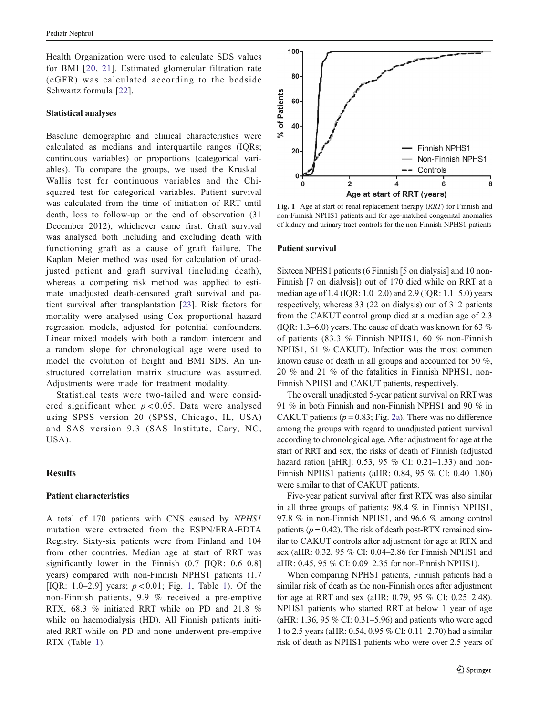Health Organization were used to calculate SDS values for BMI [[20,](#page-7-0) [21](#page-7-0)]. Estimated glomerular filtration rate (eGFR) was calculated according to the bedside Schwartz formula [\[22\]](#page-7-0).

#### Statistical analyses

Baseline demographic and clinical characteristics were calculated as medians and interquartile ranges (IQRs; continuous variables) or proportions (categorical variables). To compare the groups, we used the Kruskal– Wallis test for continuous variables and the Chisquared test for categorical variables. Patient survival was calculated from the time of initiation of RRT until death, loss to follow-up or the end of observation (31 December 2012), whichever came first. Graft survival was analysed both including and excluding death with functioning graft as a cause of graft failure. The Kaplan–Meier method was used for calculation of unadjusted patient and graft survival (including death), whereas a competing risk method was applied to estimate unadjusted death-censored graft survival and patient survival after transplantation [[23\]](#page-7-0). Risk factors for mortality were analysed using Cox proportional hazard regression models, adjusted for potential confounders. Linear mixed models with both a random intercept and a random slope for chronological age were used to model the evolution of height and BMI SDS. An unstructured correlation matrix structure was assumed. Adjustments were made for treatment modality.

Statistical tests were two-tailed and were considered significant when  $p < 0.05$ . Data were analysed using SPSS version 20 (SPSS, Chicago, IL, USA) and SAS version 9.3 (SAS Institute, Cary, NC, USA).

#### **Results**

## Patient characteristics

A total of 170 patients with CNS caused by NPHS1 mutation were extracted from the ESPN/ERA-EDTA Registry. Sixty-six patients were from Finland and 104 from other countries. Median age at start of RRT was significantly lower in the Finnish (0.7 [IQR: 0.6–0.8] years) compared with non-Finnish NPHS1 patients (1.7 [IQR: [1](#page-3-0).0–2.9] years;  $p < 0.01$ ; Fig. 1, Table 1). Of the non-Finnish patients, 9.9 % received a pre-emptive RTX, 68.3 % initiated RRT while on PD and 21.8 % while on haemodialysis (HD). All Finnish patients initiated RRT while on PD and none underwent pre-emptive RTX (Table [1](#page-3-0)).



Fig. 1 Age at start of renal replacement therapy (RRT) for Finnish and non-Finnish NPHS1 patients and for age-matched congenital anomalies of kidney and urinary tract controls for the non-Finnish NPHS1 patients

#### Patient survival

Sixteen NPHS1 patients (6 Finnish [5 on dialysis] and 10 non-Finnish [7 on dialysis]) out of 170 died while on RRT at a median age of 1.4 (IQR: 1.0–2.0) and 2.9 (IQR: 1.1–5.0) years respectively, whereas 33 (22 on dialysis) out of 312 patients from the CAKUT control group died at a median age of 2.3 (IQR: 1.3–6.0) years. The cause of death was known for 63  $%$ of patients (83.3 % Finnish NPHS1, 60 % non-Finnish NPHS1, 61 % CAKUT). Infection was the most common known cause of death in all groups and accounted for 50 %, 20 % and 21 % of the fatalities in Finnish NPHS1, non-Finnish NPHS1 and CAKUT patients, respectively.

The overall unadjusted 5-year patient survival on RRT was 91 % in both Finnish and non-Finnish NPHS1 and 90 % in CAKUT patients ( $p = 0.83$ ; Fig. [2a\)](#page-3-0). There was no difference among the groups with regard to unadjusted patient survival according to chronological age. After adjustment for age at the start of RRT and sex, the risks of death of Finnish (adjusted hazard ration [aHR]: 0.53, 95 % CI: 0.21-1.33) and non-Finnish NPHS1 patients (aHR: 0.84, 95 % CI: 0.40–1.80) were similar to that of CAKUT patients.

Five-year patient survival after first RTX was also similar in all three groups of patients: 98.4 % in Finnish NPHS1, 97.8 % in non-Finnish NPHS1, and 96.6 % among control patients ( $p = 0.42$ ). The risk of death post-RTX remained similar to CAKUT controls after adjustment for age at RTX and sex (aHR: 0.32, 95 % CI: 0.04–2.86 for Finnish NPHS1 and aHR: 0.45, 95 % CI: 0.09–2.35 for non-Finnish NPHS1).

When comparing NPHS1 patients, Finnish patients had a similar risk of death as the non-Finnish ones after adjustment for age at RRT and sex (aHR: 0.79, 95 % CI: 0.25–2.48). NPHS1 patients who started RRT at below 1 year of age (aHR: 1.36, 95 % CI: 0.31–5.96) and patients who were aged 1 to 2.5 years (aHR: 0.54, 0.95 % CI: 0.11–2.70) had a similar risk of death as NPHS1 patients who were over 2.5 years of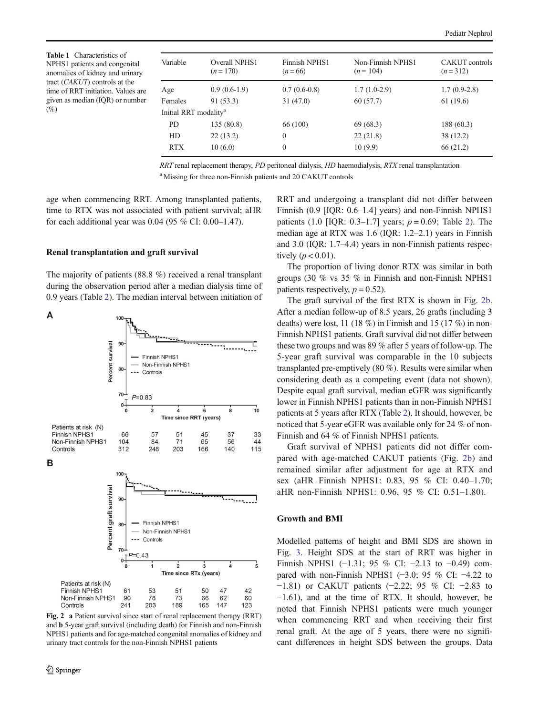<span id="page-3-0"></span>Table 1 Characteristics of NPHS1 patients and congenital anomalies of kidney and urinary tract (CAKUT) controls at the time of RRT initiation. Values are given as median (IQR) or number  $(%)$ 

| Variable                          | Overall NPHS1<br>$(n=170)$ | Finnish NPHS1<br>$(n=66)$ | Non-Finnish NPHS1<br>$(n = 104)$ | CAKUT controls<br>$(n=312)$ |
|-----------------------------------|----------------------------|---------------------------|----------------------------------|-----------------------------|
| Age                               | $0.9(0.6-1.9)$             | $0.7(0.6-0.8)$            | $1.7(1.0-2.9)$                   | $1.7(0.9-2.8)$              |
| Females                           | 91 (53.3)                  | 31(47.0)                  | 60(57.7)                         | 61 (19.6)                   |
| Initial RRT modality <sup>a</sup> |                            |                           |                                  |                             |
| PD                                | 135 (80.8)                 | 66 (100)                  | 69 (68.3)                        | 188 (60.3)                  |
| HD                                | 22(13.2)                   | $\Omega$                  | 22(21.8)                         | 38 (12.2)                   |
| <b>RTX</b>                        | 10(6.0)                    | $\mathbf{0}$              | 10(9.9)                          | 66 (21.2)                   |

RRT renal replacement therapy, PD peritoneal dialysis, HD haemodialysis, RTX renal transplantation <sup>a</sup> Missing for three non-Finnish patients and 20 CAKUT controls

age when commencing RRT. Among transplanted patients, time to RTX was not associated with patient survival; aHR for each additional year was 0.04 (95 % CI: 0.00–1.47).

#### Renal transplantation and graft survival

The majority of patients (88.8 %) received a renal transplant during the observation period after a median dialysis time of 0.9 years (Table [2\)](#page-4-0). The median interval between initiation of

A 100 90 Percent survival Finnish NPHS1 Non-Finnish NPHS1 80 Controls  $70$  $P = 0.83$  $0\frac{1}{0}$  $\frac{1}{2}$  $\overline{10}$  $\frac{1}{4}$  $\overline{6}$  $\dot{\mathbf{8}}$ Time since RRT (years) Patients at risk (N) 66 57  $51$ 45 37 33 Finnish NPHS1 84  $71$ 65 44 Non-Finnish NPHS1 104 56 248 203 115 312 166 140 Controls B 100 Percent graft survival 90  $5 - 5 - 1$ Finnish NPHS1 80 Non-Finnish NPHS Controls  $70$  $-P=0.43$  $0 \frac{1}{2}$  $\frac{1}{3}$  $\frac{1}{4}$ ċ

Patients at risk (N) Finnish NPHS1  $61$ 53 51 50 47 42 78 73 62 60 Non-Finnish NPHS1 90 66 203 Controls 241 189 165 147 123 Fig. 2 a Patient survival since start of renal replacement therapy (RRT)

Time since RTx (years)

and b 5-year graft survival (including death) for Finnish and non-Finnish NPHS1 patients and for age-matched congenital anomalies of kidney and urinary tract controls for the non-Finnish NPHS1 patients

RRT and undergoing a transplant did not differ between Finnish (0.9 [IQR: 0.6–1.4] years) and non-Finnish NPHS1 patients (1.0 [IQR: 0.3–1.7] years;  $p = 0.69$ ; Table [2](#page-4-0)). The median age at RTX was 1.6 (IQR: 1.2–2.1) years in Finnish and 3.0 (IQR: 1.7–4.4) years in non-Finnish patients respectively  $(p < 0.01)$ .

The proportion of living donor RTX was similar in both groups (30 % vs 35 % in Finnish and non-Finnish NPHS1 patients respectively,  $p = 0.52$ .

The graft survival of the first RTX is shown in Fig. 2b. After a median follow-up of 8.5 years, 26 grafts (including 3 deaths) were lost, 11 (18 %) in Finnish and 15 (17 %) in non-Finnish NPHS1 patients. Graft survival did not differ between these two groups and was 89 % after 5 years of follow-up. The 5-year graft survival was comparable in the 10 subjects transplanted pre-emptively (80 %). Results were similar when considering death as a competing event (data not shown). Despite equal graft survival, median eGFR was significantly lower in Finnish NPHS1 patients than in non-Finnish NPHS1 patients at 5 years after RTX (Table [2](#page-4-0)). It should, however, be noticed that 5-year eGFR was available only for 24 % of non-Finnish and 64 % of Finnish NPHS1 patients.

Graft survival of NPHS1 patients did not differ compared with age-matched CAKUT patients (Fig. 2b) and remained similar after adjustment for age at RTX and sex (aHR Finnish NPHS1: 0.83, 95 % CI: 0.40–1.70; aHR non-Finnish NPHS1: 0.96, 95 % CI: 0.51–1.80).

#### Growth and BMI

Modelled patterns of height and BMI SDS are shown in Fig. [3](#page-4-0). Height SDS at the start of RRT was higher in Finnish NPHS1 (−1.31; 95 % CI: −2.13 to −0.49) compared with non-Finnish NPHS1 (−3.0; 95 % CI: −4.22 to −1.81) or CAKUT patients (−2.22; 95 % CI: −2.83 to −1.61), and at the time of RTX. It should, however, be noted that Finnish NPHS1 patients were much younger when commencing RRT and when receiving their first renal graft. At the age of 5 years, there were no significant differences in height SDS between the groups. Data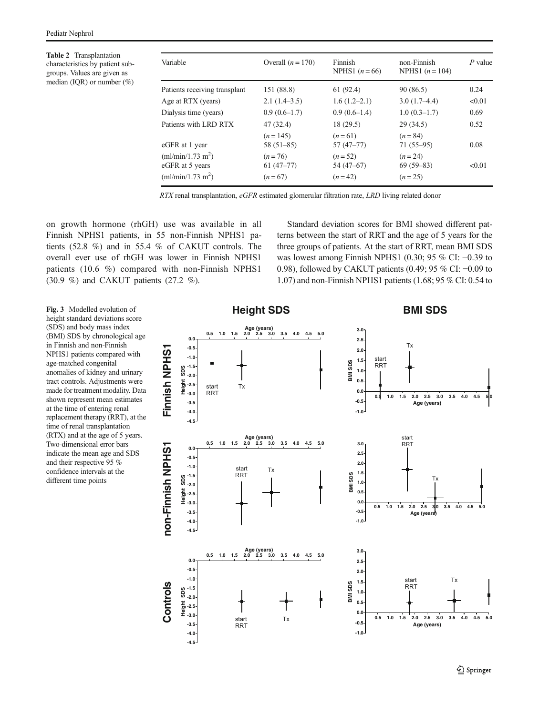<span id="page-4-0"></span>Table 2 Transplantation characteristics by patient subgroups. Values are given as median (IQR) or number  $(\%)$ 

| Variable                                         | Overall $(n = 170)$      | Finnish<br>NPHS1 $(n=66)$ | non-Finnish<br>NPHS1 $(n = 104)$ | $P$ value |
|--------------------------------------------------|--------------------------|---------------------------|----------------------------------|-----------|
| Patients receiving transplant                    | 151 (88.8)               | 61 (92.4)                 | 90 (86.5)                        | 0.24      |
| Age at RTX (years)                               | $2.1(1.4-3.5)$           | $1.6(1.2-2.1)$            | $3.0(1.7-4.4)$                   | < 0.01    |
| Dialysis time (years)                            | $0.9(0.6-1.7)$           | $0.9(0.6-1.4)$            | $1.0(0.3-1.7)$                   | 0.69      |
| Patients with LRD RTX                            | 47(32.4)                 | 18(29.5)                  | 29(34.5)                         | 0.52      |
| eGFR at 1 year                                   | $(n=145)$<br>$58(51-85)$ | $(n=61)$<br>$57(47 - 77)$ | $(n = 84)$<br>$71(55-95)$        | 0.08      |
| (ml/min/1.73 m <sup>2</sup> )<br>eGFR at 5 years | $(n=76)$<br>$61(47-77)$  | $(n=52)$<br>54 (47–67)    | $(n=24)$<br>$69(59-83)$          | < 0.01    |
| (ml/min/1.73 m <sup>2</sup> )                    | $(n=67)$                 | $(n=42)$                  | $(n=25)$                         |           |

RTX renal transplantation, eGFR estimated glomerular filtration rate, LRD living related donor

on growth hormone (rhGH) use was available in all Finnish NPHS1 patients, in 55 non-Finnish NPHS1 patients (52.8 %) and in 55.4 % of CAKUT controls. The overall ever use of rhGH was lower in Finnish NPHS1 patients (10.6 %) compared with non-Finnish NPHS1 (30.9 %) and CAKUT patients (27.2 %).

Standard deviation scores for BMI showed different patterns between the start of RRT and the age of 5 years for the three groups of patients. At the start of RRT, mean BMI SDS was lowest among Finnish NPHS1 (0.30; 95 % CI: −0.39 to 0.98), followed by CAKUT patients (0.49; 95 % CI: −0.09 to 1.07) and non-Finnish NPHS1 patients (1.68; 95 % CI: 0.54 to

height standard deviations score (SDS) and body mass index (BMI) SDS by chronological age in Finnish and non-Finnish NPHS1 patients compared with age-matched congenital anomalies of kidney and urinary tract controls. Adjustments were made for treatment modality. Data shown represent mean estimates at the time of entering renal replacement therapy (RRT), at the time of renal transplantation (RTX) and at the age of 5 years. Two-dimensional error bars indicate the mean age and SDS and their respective 95 % confidence intervals at the different time points

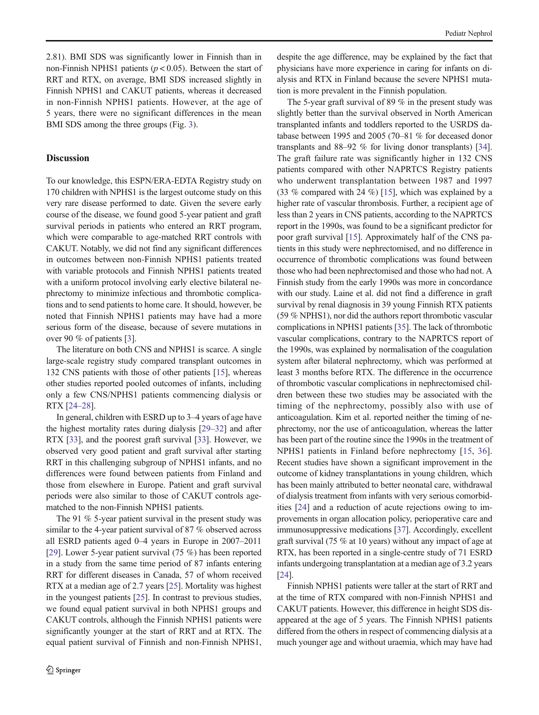2.81). BMI SDS was significantly lower in Finnish than in non-Finnish NPHS1 patients ( $p < 0.05$ ). Between the start of RRT and RTX, on average, BMI SDS increased slightly in Finnish NPHS1 and CAKUT patients, whereas it decreased in non-Finnish NPHS1 patients. However, at the age of 5 years, there were no significant differences in the mean BMI SDS among the three groups (Fig. [3](#page-4-0)).

# Discussion

To our knowledge, this ESPN/ERA-EDTA Registry study on 170 children with NPHS1 is the largest outcome study on this very rare disease performed to date. Given the severe early course of the disease, we found good 5-year patient and graft survival periods in patients who entered an RRT program, which were comparable to age-matched RRT controls with CAKUT. Notably, we did not find any significant differences in outcomes between non-Finnish NPHS1 patients treated with variable protocols and Finnish NPHS1 patients treated with a uniform protocol involving early elective bilateral nephrectomy to minimize infectious and thrombotic complications and to send patients to home care. It should, however, be noted that Finnish NPHS1 patients may have had a more serious form of the disease, because of severe mutations in over 90 % of patients [[3](#page-7-0)].

The literature on both CNS and NPHS1 is scarce. A single large-scale registry study compared transplant outcomes in 132 CNS patients with those of other patients [[15\]](#page-7-0), whereas other studies reported pooled outcomes of infants, including only a few CNS/NPHS1 patients commencing dialysis or RTX [[24](#page-7-0)–[28](#page-7-0)].

In general, children with ESRD up to 3–4 years of age have the highest mortality rates during dialysis [[29](#page-7-0)–[32](#page-7-0)] and after RTX [\[33](#page-8-0)], and the poorest graft survival [\[33\]](#page-8-0). However, we observed very good patient and graft survival after starting RRT in this challenging subgroup of NPHS1 infants, and no differences were found between patients from Finland and those from elsewhere in Europe. Patient and graft survival periods were also similar to those of CAKUT controls agematched to the non-Finnish NPHS1 patients.

The 91 % 5-year patient survival in the present study was similar to the 4-year patient survival of 87 % observed across all ESRD patients aged 0–4 years in Europe in 2007–2011 [\[29\]](#page-7-0). Lower 5-year patient survival (75 %) has been reported in a study from the same time period of 87 infants entering RRT for different diseases in Canada, 57 of whom received RTX at a median age of 2.7 years [[25\]](#page-7-0). Mortality was highest in the youngest patients [\[25](#page-7-0)]. In contrast to previous studies, we found equal patient survival in both NPHS1 groups and CAKUT controls, although the Finnish NPHS1 patients were significantly younger at the start of RRT and at RTX. The equal patient survival of Finnish and non-Finnish NPHS1, despite the age difference, may be explained by the fact that physicians have more experience in caring for infants on dialysis and RTX in Finland because the severe NPHS1 mutation is more prevalent in the Finnish population.

The 5-year graft survival of 89 % in the present study was slightly better than the survival observed in North American transplanted infants and toddlers reported to the USRDS database between 1995 and 2005 (70–81 % for deceased donor transplants and 88–92 % for living donor transplants) [[34\]](#page-8-0). The graft failure rate was significantly higher in 132 CNS patients compared with other NAPRTCS Registry patients who underwent transplantation between 1987 and 1997 (33 % compared with 24 %) [[15\]](#page-7-0), which was explained by a higher rate of vascular thrombosis. Further, a recipient age of less than 2 years in CNS patients, according to the NAPRTCS report in the 1990s, was found to be a significant predictor for poor graft survival [\[15](#page-7-0)]. Approximately half of the CNS patients in this study were nephrectomised, and no difference in occurrence of thrombotic complications was found between those who had been nephrectomised and those who had not. A Finnish study from the early 1990s was more in concordance with our study. Laine et al. did not find a difference in graft survival by renal diagnosis in 39 young Finnish RTX patients (59 % NPHS1), nor did the authors report thrombotic vascular complications in NPHS1 patients [\[35\]](#page-8-0). The lack of thrombotic vascular complications, contrary to the NAPRTCS report of the 1990s, was explained by normalisation of the coagulation system after bilateral nephrectomy, which was performed at least 3 months before RTX. The difference in the occurrence of thrombotic vascular complications in nephrectomised children between these two studies may be associated with the timing of the nephrectomy, possibly also with use of anticoagulation. Kim et al. reported neither the timing of nephrectomy, nor the use of anticoagulation, whereas the latter has been part of the routine since the 1990s in the treatment of NPHS1 patients in Finland before nephrectomy [[15,](#page-7-0) [36](#page-8-0)]. Recent studies have shown a significant improvement in the outcome of kidney transplantations in young children, which has been mainly attributed to better neonatal care, withdrawal of dialysis treatment from infants with very serious comorbidities [\[24](#page-7-0)] and a reduction of acute rejections owing to improvements in organ allocation policy, perioperative care and immunosuppressive medications [[37](#page-8-0)]. Accordingly, excellent graft survival (75 % at 10 years) without any impact of age at RTX, has been reported in a single-centre study of 71 ESRD infants undergoing transplantation at a median age of 3.2 years [\[24](#page-7-0)].

Finnish NPHS1 patients were taller at the start of RRT and at the time of RTX compared with non-Finnish NPHS1 and CAKUT patients. However, this difference in height SDS disappeared at the age of 5 years. The Finnish NPHS1 patients differed from the others in respect of commencing dialysis at a much younger age and without uraemia, which may have had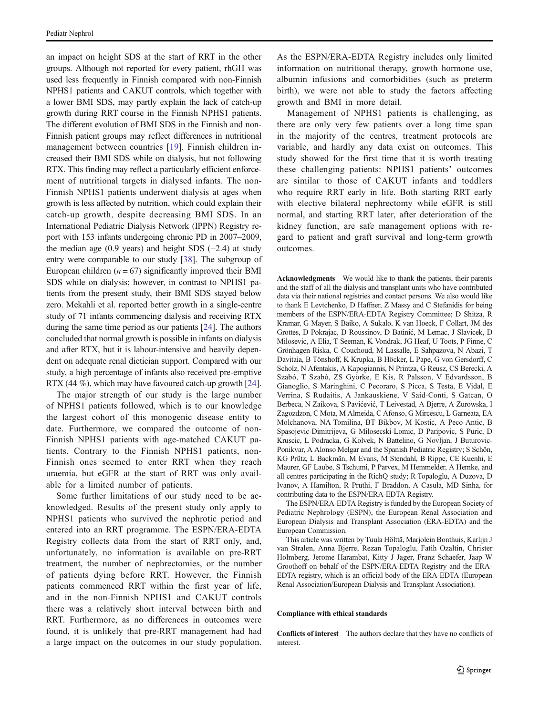an impact on height SDS at the start of RRT in the other groups. Although not reported for every patient, rhGH was used less frequently in Finnish compared with non-Finnish NPHS1 patients and CAKUT controls, which together with a lower BMI SDS, may partly explain the lack of catch-up growth during RRT course in the Finnish NPHS1 patients. The different evolution of BMI SDS in the Finnish and non-Finnish patient groups may reflect differences in nutritional management between countries [\[19\]](#page-7-0). Finnish children increased their BMI SDS while on dialysis, but not following RTX. This finding may reflect a particularly efficient enforcement of nutritional targets in dialysed infants. The non-Finnish NPHS1 patients underwent dialysis at ages when growth is less affected by nutrition, which could explain their catch-up growth, despite decreasing BMI SDS. In an International Pediatric Dialysis Network (IPPN) Registry report with 153 infants undergoing chronic PD in 2007–2009, the median age (0.9 years) and height SDS (−2.4) at study entry were comparable to our study [[38](#page-8-0)]. The subgroup of European children ( $n = 67$ ) significantly improved their BMI SDS while on dialysis; however, in contrast to NPHS1 patients from the present study, their BMI SDS stayed below zero. Mekahli et al. reported better growth in a single-centre study of 71 infants commencing dialysis and receiving RTX during the same time period as our patients [[24\]](#page-7-0). The authors concluded that normal growth is possible in infants on dialysis and after RTX, but it is labour-intensive and heavily dependent on adequate renal dietician support. Compared with our study, a high percentage of infants also received pre-emptive RTX (44 %), which may have favoured catch-up growth [[24\]](#page-7-0).

The major strength of our study is the large number of NPHS1 patients followed, which is to our knowledge the largest cohort of this monogenic disease entity to date. Furthermore, we compared the outcome of non-Finnish NPHS1 patients with age-matched CAKUT patients. Contrary to the Finnish NPHS1 patients, non-Finnish ones seemed to enter RRT when they reach uraemia, but eGFR at the start of RRT was only available for a limited number of patients.

Some further limitations of our study need to be acknowledged. Results of the present study only apply to NPHS1 patients who survived the nephrotic period and entered into an RRT programme. The ESPN/ERA-EDTA Registry collects data from the start of RRT only, and, unfortunately, no information is available on pre-RRT treatment, the number of nephrectomies, or the number of patients dying before RRT. However, the Finnish patients commenced RRT within the first year of life, and in the non-Finnish NPHS1 and CAKUT controls there was a relatively short interval between birth and RRT. Furthermore, as no differences in outcomes were found, it is unlikely that pre-RRT management had had a large impact on the outcomes in our study population.

As the ESPN/ERA-EDTA Registry includes only limited information on nutritional therapy, growth hormone use, albumin infusions and comorbidities (such as preterm birth), we were not able to study the factors affecting growth and BMI in more detail.

Management of NPHS1 patients is challenging, as there are only very few patients over a long time span in the majority of the centres, treatment protocols are variable, and hardly any data exist on outcomes. This study showed for the first time that it is worth treating these challenging patients: NPHS1 patients' outcomes are similar to those of CAKUT infants and toddlers who require RRT early in life. Both starting RRT early with elective bilateral nephrectomy while eGFR is still normal, and starting RRT later, after deterioration of the kidney function, are safe management options with regard to patient and graft survival and long-term growth outcomes.

Acknowledgments We would like to thank the patients, their parents and the staff of all the dialysis and transplant units who have contributed data via their national registries and contact persons. We also would like to thank E Levtchenko, D Haffner, Z Massy and C Stefanidis for being members of the ESPN/ERA-EDTA Registry Committee; D Shitza, R Kramar, G Mayer, S Baiko, A Sukalo, K van Hoeck, F Collart, JM des Grottes, D Pokrajac, D Roussinov, D Batinić, M Lemac, J Slavicek, D Milosevic, A Elia, T Seeman, K Vondrak, JG Heaf, U Toots, P Finne, C Grönhagen-Riska, C Couchoud, M Lassalle, E Sahpazova, N Abazi, T Davitaia, B Tönshoff, K Krupka, B Höcker, L Pape, G von Gersdorff, C Scholz, N Afentakis, A Kapogiannis, N Printza, G Reusz, CS Berecki, A Szabó, T Szabó, ZS Györke, E Kis, R Palsson, V Edvardsson, B Gianoglio, S Maringhini, C Pecoraro, S Picca, S Testa, E Vidal, E Verrina, S Rudaitis, A Jankauskiene, V Said-Conti, S Gatcan, O Berbeca, N Zaikova, S Pavićević, T Leivestad, A Bjerre, A Zurowska, I Zagozdzon, C Mota, M Almeida, C Afonso, G Mircescu, L Garneata, EA Molchanova, NA Tomilina, BT Bikbov, M Kostic, A Peco-Antic, B Spasojevic-Dimitrijeva, G Milosecski-Lomic, D Paripovic, S Puric, D Kruscic, L Podracka, G Kolvek, N Battelino, G Novljan, J Buturovic-Ponikvar, A Alonso Melgar and the Spanish Pediatric Registry; S Schön, KG Prütz, L Backmän, M Evans, M Stendahl, B Rippe, CE Kuenhi, E Maurer, GF Laube, S Tschumi, P Parvex, M Hemmelder, A Hemke, and all centres participating in the RichQ study; R Topaloglu, A Duzova, D Ivanov, A Hamilton, R Pruthi, F Braddon, A Casula, MD Sinha, for contributing data to the ESPN/ERA-EDTA Registry.

The ESPN/ERA-EDTA Registry is funded by the European Society of Pediatric Nephrology (ESPN), the European Renal Association and European Dialysis and Transplant Association (ERA-EDTA) and the European Commission.

This article was written by Tuula Hölttä, Marjolein Bonthuis, Karlijn J van Stralen, Anna Bjerre, Rezan Topaloglu, Fatih Ozaltin, Christer Holmberg, Jerome Harambat, Kitty J Jager, Franz Schaefer, Jaap W Groothoff on behalf of the ESPN/ERA-EDTA Registry and the ERA-EDTA registry, which is an official body of the ERA-EDTA (European Renal Association/European Dialysis and Transplant Association).

#### Compliance with ethical standards

Conflicts of interest The authors declare that they have no conflicts of interest.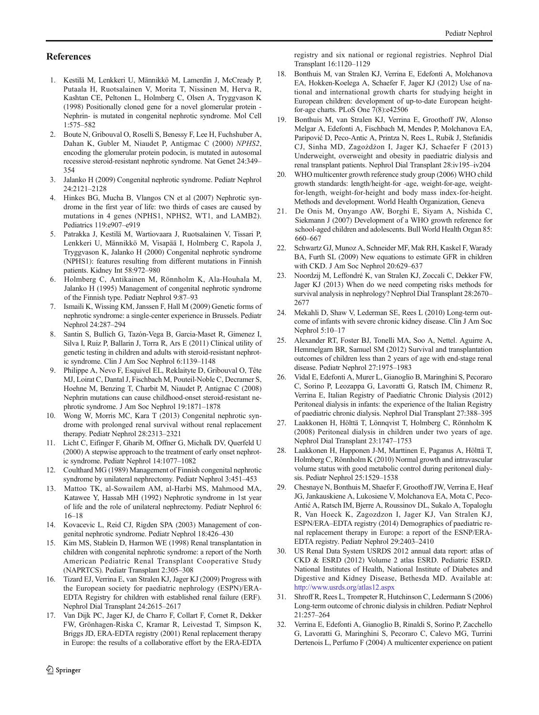# <span id="page-7-0"></span>References

- 1. Kestilä M, Lenkkeri U, Männikkö M, Lamerdin J, McCready P, Putaala H, Ruotsalainen V, Morita T, Nissinen M, Herva R, Kashtan CE, Peltonen L, Holmberg C, Olsen A, Tryggvason K (1998) Positionally cloned gene for a novel glomerular protein - Nephrin- is mutated in congenital nephrotic syndrome. Mol Cell 1:575–582
- 2. Boute N, Gribouval O, Roselli S, Benessy F, Lee H, Fuchshuber A, Dahan K, Gubler M, Niaudet P, Antigmac C (2000) NPHS2, encoding the glomerular protein podocin, is mutated in autosomal recessive steroid-resistant nephrotic syndrome. Nat Genet 24:349– 354
- 3. Jalanko H (2009) Congenital nephrotic syndrome. Pediatr Nephrol 24:2121–2128
- 4. Hinkes BG, Mucha B, Vlangos CN et al (2007) Nephrotic syndrome in the first year of life: two thirds of cases are caused by mutations in 4 genes (NPHS1, NPHS2, WT1, and LAMB2). Pediatrics 119:e907–e919
- 5. Patrakka J, Kestilä M, Wartiovaara J, Ruotsalainen V, Tissari P, Lenkkeri U, Männikkö M, Visapää I, Holmberg C, Rapola J, Tryggvason K, Jalanko H (2000) Congenital nephrotic syndrome (NPHS1): features resulting from different mutations in Finnish patients. Kidney Int 58:972–980
- 6. Holmberg C, Antikainen M, Rönnholm K, Ala-Houhala M, Jalanko H (1995) Management of congenital nephrotic syndrome of the Finnish type. Pediatr Nephrol 9:87–93
- 7. Ismaili K, Wissing KM, Janssen F, Hall M (2009) Genetic forms of nephrotic syndrome: a single-center experience in Brussels. Pediatr Nephrol 24:287–294
- 8. Santin S, Bullich G, Tazón-Vega B, Garcia-Maset R, Gimenez I, Silva I, Ruiz P, Ballarin J, Torra R, Ars E (2011) Clinical utility of genetic testing in children and adults with steroid-resistant nephrotic syndrome. Clin J Am Soc Nephrol 6:1139–1148
- 9. Philippe A, Nevo F, Esquivel EL, Reklaityte D, Gribouval O, Tête MJ, Loirat C, Dantal J, Fischbach M, Pouteil-Noble C, Decramer S, Hoehne M, Benzing T, Charbit M, Niaudet P, Antignac C (2008) Nephrin mutations can cause childhood-onset steroid-resistant nephrotic syndrome. J Am Soc Nephrol 19:1871–1878
- 10. Wong W, Morris MC, Kara T (2013) Congenital nephrotic syndrome with prolonged renal survival without renal replacement therapy. Pediatr Nephrol 28:2313–2321
- 11. Licht C, Eifinger F, Gharib M, Offner G, Michalk DV, Querfeld U (2000) A stepwise approach to the treatment of early onset nephrotic syndrome. Pediatr Nephrol 14:1077–1082
- 12. Coulthard MG (1989) Management of Finnish congenital nephrotic syndrome by unilateral nephrectomy. Pediatr Nephrol 3:451–453
- 13. Mattoo TK, al-Sowailem AM, al-Harbi MS, Mahmood MA, Katawee Y, Hassab MH (1992) Nephrotic syndrome in 1st year of life and the role of unilateral nephrectomy. Pediatr Nephrol 6: 16–18
- 14. Kovacevic L, Reid CJ, Rigden SPA (2003) Management of congenital nephrotic syndrome. Pediatr Nephrol 18:426–430
- 15. Kim MS, Stablein D, Harmon WE (1998) Renal transplantation in children with congenital nephrotic syndrome: a report of the North American Pediatric Renal Transplant Cooperative Study (NAPRTCS). Pediatr Transplant 2:305–308
- 16. Tizard EJ, Verrina E, van Stralen KJ, Jager KJ (2009) Progress with the European society for paediatric nephrology (ESPN)/ERA-EDTA Registry for children with established renal failure (ERF). Nephrol Dial Transplant 24:2615–2617
- 17. Van Dijk PC, Jager KJ, de Charro F, Collart F, Cornet R, Dekker FW, Grönhagen-Riska C, Kramar R, Leivestad T, Simpson K, Briggs JD, ERA-EDTA registry (2001) Renal replacement therapy in Europe: the results of a collaborative effort by the ERA-EDTA

registry and six national or regional registries. Nephrol Dial Transplant 16:1120–1129

- 18. Bonthuis M, van Stralen KJ, Verrina E, Edefonti A, Molchanova EA, Hokken-Koelega A, Schaefer F, Jager KJ (2012) Use of national and international growth charts for studying height in European children: development of up-to-date European heightfor-age charts. PLoS One 7(8):e42506
- 19. Bonthuis M, van Stralen KJ, Verrina E, Groothoff JW, Alonso Melgar A, Edefonti A, Fischbach M, Mendes P, Molchanova EA, Paripović D, Peco-Antic A, Printza N, Rees L, Rubik J, Stefanidis CJ, Sinha MD, Zagożdżon I, Jager KJ, Schaefer F (2013) Underweight, overweight and obesity in paediatric dialysis and renal transplant patients. Nephrol Dial Transplant 28:iv195–iv204
- 20. WHO multicenter growth reference study group (2006) WHO child growth standards: length/height-for -age, weight-for-age, weightfor-length, weight-for-height and body mass index-for-height. Methods and development. World Health Organization, Geneva
- 21. De Onis M, Onyango AW, Borghi E, Siyam A, Nishida C, Siekmann J (2007) Development of a WHO growth reference for school-aged children and adolescents. Bull World Health Organ 85: 660–667
- 22. Schwartz GJ, Munoz A, Schneider MF, Mak RH, Kaskel F, Warady BA, Furth SL (2009) New equations to estimate GFR in children with CKD. J Am Soc Nephrol 20:629–637
- 23. Noordzij M, Leffondré K, van Stralen KJ, Zoccali C, Dekker FW, Jager KJ (2013) When do we need competing risks methods for survival analysis in nephrology? Nephrol Dial Transplant 28:2670– 2677
- 24. Mekahli D, Shaw V, Lederman SE, Rees L (2010) Long-term outcome of infants with severe chronic kidney disease. Clin J Am Soc Nephrol 5:10–17
- 25. Alexander RT, Foster BJ, Tonelli MA, Soo A, Nettel. Aguirre A, Hemmelgarn BR, Samuel SM (2012) Survival and transplantation outcomes of children less than 2 years of age with end-stage renal disease. Pediatr Nephrol 27:1975–1983
- 26. Vidal E, Edefonti A, Murer L, Gianoglio B, Maringhini S, Pecoraro C, Sorino P, Leozappa G, Lavoratti G, Ratsch IM, Chimenz R, Verrina E, Italian Registry of Paediatric Chronic Dialysis (2012) Peritoneal dialysis in infants: the experience of the Italian Registry of paediatric chronic dialysis. Nephrol Dial Transplant 27:388–395
- 27. Laakkonen H, Hölttä T, Lönnqvist T, Holmberg C, Rönnholm K (2008) Peritoneal dialysis in children under two years of age. Nephrol Dial Transplant 23:1747–1753
- 28. Laakkonen H, Happonen J-M, Marttinen E, Paganus A, Hölttä T, Holmberg C, Rönnholm K (2010) Normal growth and intravascular volume status with good metabolic control during peritoneal dialysis. Pediatr Nephrol 25:1529–1538
- 29. Chesnaye N, Bonthuis M, Shaefer F, Groothoff JW, Verrina E, Heaf JG, Jankauskiene A, Lukosiene V, Molchanova EA, Mota C, Peco-Antić A, Ratsch IM, Bjerre A, Roussinov DL, Sukalo A, Topaloglu R, Van Hoeck K, Zagozdzon I, Jager KJ, Van Stralen KJ, ESPN/ERA–EDTA registry (2014) Demographics of paediatric renal replacement therapy in Europe: a report of the ESNP/ERA-EDTA registry. Pediatr Nephrol 29:2403–2410
- 30. US Renal Data System USRDS 2012 annual data report: atlas of CKD & ESRD (2012) Volume 2 atlas ESRD. Pediatric ESRD. National Institutes of Health, National Institute of Diabetes and Digestive and Kidney Disease, Bethesda MD. Available at: <http://www.usrds.org/atlas12.aspx>
- 31. Shroff R, Rees L, Trompeter R, Hutchinson C, Ledermann S (2006) Long-term outcome of chronic dialysis in children. Pediatr Nephrol 21:257–264
- 32. Verrina E, Edefonti A, Gianoglio B, Rinaldi S, Sorino P, Zacchello G, Lavoratti G, Maringhini S, Pecoraro C, Calevo MG, Turrini Dertenois L, Perfumo F (2004) A multicenter experience on patient